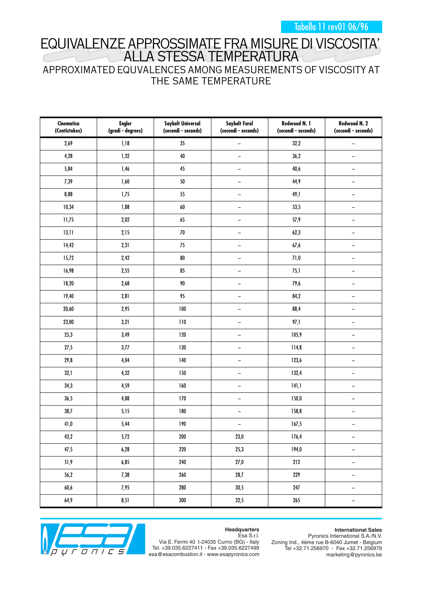Tabella 11 rev01 06/96

## EQUIVALENZE APPROSSIMATE FRA MISURE DI VISCOSITA' ALLA STESSA TEMPERATURA

### APPROXIMATED EQUVALENCES AMONG MEASUREMENTS OF VISCOSITY AT THE SAME TEMPERATURE

| Cinematica<br>(Centistokes) | <b>Engler</b><br>(gradi - degrees) | <b>Saybolt Universal</b><br>(secondi - seconds) | <b>Saybolt Furol</b><br>(secondi - seconds) | Redwood N. 1<br>(secondi - seconds) | Redwood N. 2<br>(secondi - seconds) |
|-----------------------------|------------------------------------|-------------------------------------------------|---------------------------------------------|-------------------------------------|-------------------------------------|
| 2,69                        | 1,18                               | $35\phantom{.0}$                                | $\overline{\phantom{0}}$                    | 32,2                                | $\overline{\phantom{0}}$            |
| 4,28                        | 1,32                               | $40\,$                                          | $\qquad \qquad -$                           | 36,2                                | $\overline{\phantom{0}}$            |
| 5,84                        | 1,46                               | 45                                              | $\qquad \qquad -$                           | 40,6                                | $\overline{\phantom{0}}$            |
| 7,39                        | 1,60                               | 50                                              | $\qquad \qquad -$                           | 44,9                                | $\overline{\phantom{0}}$            |
| 8,88                        | 1,75                               | 55                                              | $\qquad \qquad -$                           | 49,1                                | $\overline{\phantom{0}}$            |
| 10,34                       | 1,88                               | $\pmb{60}$                                      | $\qquad \qquad -$                           | 53,5                                | $\overline{\phantom{0}}$            |
| 11,75                       | 2,02                               | 65                                              | $\qquad \qquad -$                           | 57,9                                | $\overline{\phantom{0}}$            |
| 13,11                       | 2,15                               | $70\,$                                          | $\qquad \qquad -$                           | 62,3                                | $\overline{\phantom{0}}$            |
| 14,42                       | 2,31                               | 75                                              | $\qquad \qquad -$                           | 67,6                                | $\overline{\phantom{0}}$            |
| 15,72                       | 2,42                               | ${\bf 80}$                                      | $\qquad \qquad -$                           | 71,0                                | $\overline{\phantom{0}}$            |
| 16,98                       | 2,55                               | 85                                              | $\qquad \qquad -$                           | 75,1                                | $\overline{\phantom{0}}$            |
| 18,20                       | 2,68                               | 90                                              | $\qquad \qquad -$                           | 79,6                                | $\qquad \qquad -$                   |
| 19,40                       | 2,81                               | 95                                              | $\qquad \qquad -$                           | 84,2                                | $\overline{\phantom{0}}$            |
| 20,60                       | 2,95                               | 100                                             | $\qquad \qquad -$                           | 88,4                                | $\overline{\phantom{0}}$            |
| 23,00                       | 3,21                               | 110                                             | $\qquad \qquad -$                           | 97,1                                | $\overline{\phantom{0}}$            |
| 25,3                        | 3,49                               | 120                                             | $\qquad \qquad -$                           | 105,9                               | $\overline{\phantom{0}}$            |
| 27,5                        | 3,77                               | 130                                             | $\qquad \qquad -$                           | 114,8                               | $\overline{\phantom{0}}$            |
| 29,8                        | 4,04                               | 140                                             | $\qquad \qquad -$                           | 123,6                               | $\overline{\phantom{0}}$            |
| 32,1                        | 4,32                               | 150                                             | $\qquad \qquad -$                           | 132,4                               | $\overline{\phantom{0}}$            |
| 34,3                        | 4,59                               | 160                                             | $\qquad \qquad -$                           | 141,1                               | $\overline{\phantom{0}}$            |
| 36,5                        | 4,88                               | 170                                             | $\qquad \qquad -$                           | 150,0                               | $\overline{\phantom{0}}$            |
| 38,7                        | 5,15                               | 180                                             | $\qquad \qquad -$                           | 158,8                               | $\overline{\phantom{0}}$            |
| 41,0                        | 5,44                               | 190                                             | $\overline{\phantom{0}}$                    | 167,5                               | $\overline{\phantom{0}}$            |
| 43,2                        | 5,72                               | $200\,$                                         | 23,0                                        | 176,4                               | $\overline{\phantom{m}}$            |
| 47,5                        | 6,28                               | 220                                             | 25,3                                        | 194,0                               | $\qquad \qquad -$                   |
| 51,9                        | 6,85                               | 240                                             | 27,0                                        | 212                                 | $\overline{\phantom{m}}$            |
| 56,2                        | 7,38                               | $260\,$                                         | 28,7                                        | 229                                 | $\qquad \qquad -$                   |
| 60,6                        | 7,95                               | 280                                             | 30,5                                        | 247                                 | $\overline{\phantom{m}}$            |
| $64,9$                      | 8,51                               | 300                                             | 32,5                                        | 265                                 | $\qquad \qquad -$                   |



#### **Headquarters** Esa S.r.l.

**International Sales**

Via E. Fermi 40 I-24035 Curno (BG) - Italy Tel. +39.035.6227411 - Fax +39.035.6227499 esa@esacombustion.it - www.esapyronics.com

Pyronics International S.A./N.V. Zoning Ind., 4ème rue B-6040 Jumet - Belgium Tel +32.71.256970 - Fax +32.71.256979 marketing@pyronics.be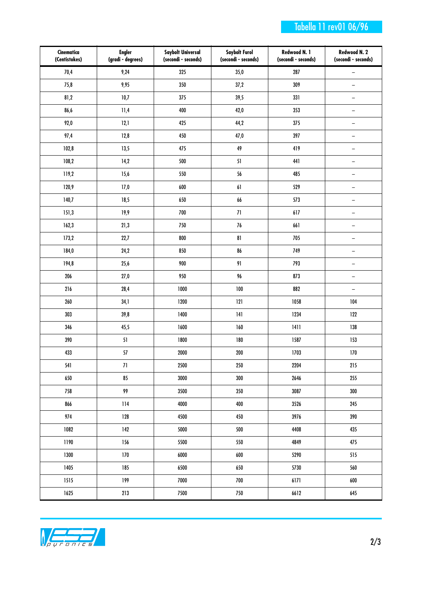### Tabella 11 rev01 06/96

| Cinematica<br>(Centistokes) | <b>Engler</b><br>(gradi - degrees) | <b>Saybolt Universal</b><br>(secondi - seconds) | <b>Saybolt Furol</b><br>(secondi - seconds) | Redwood N. 1<br>(secondi - seconds) | Redwood N. 2<br>(secondi - seconds) |
|-----------------------------|------------------------------------|-------------------------------------------------|---------------------------------------------|-------------------------------------|-------------------------------------|
| 70,4                        | 9,24                               | 325                                             | 35,0                                        | 287                                 | $\overline{\phantom{0}}$            |
| 75,8                        | 9,95                               | 350                                             | 37,2                                        | 309                                 | $\overline{\phantom{0}}$            |
| 81,2                        | 10,7                               | 375                                             | 39,5                                        | 331                                 | $\qquad \qquad -$                   |
| 86,6                        | 11,4                               | 400                                             | 42,0                                        | 353                                 | $\overline{\phantom{0}}$            |
| 92,0                        | 12,1                               | 425                                             | 44,2                                        | 375                                 | $\qquad \qquad -$                   |
| 97,4                        | 12,8                               | 450                                             | 47,0                                        | 397                                 | $\overline{\phantom{0}}$            |
| 102,8                       | 13,5                               | 475                                             | 49                                          | 419                                 | $\qquad \qquad -$                   |
| 108,2                       | 14,2                               | 500                                             | 51                                          | 441                                 | $\overline{\phantom{0}}$            |
| 119,2                       | 15,6                               | 550                                             | 56                                          | 485                                 | $\overline{\phantom{0}}$            |
| 120,9                       | 17,0                               | $600\,$                                         | $\pmb{6}$ ]                                 | 529                                 | $\overline{\phantom{0}}$            |
| 140,7                       | 18,5                               | 650                                             | 66                                          | 573                                 | $\overline{\phantom{0}}$            |
| 151,3                       | 19,9                               | $700$                                           | $71\,$                                      | 617                                 | $\overline{\phantom{0}}$            |
| 162,3                       | 21,3                               | 750                                             | $76\,$                                      | 661                                 | $\overline{\phantom{0}}$            |
| 173,2                       | 22,7                               | 800                                             | ${\bf 81}$                                  | 705                                 | $\overline{\phantom{0}}$            |
| 184,0                       | 24,2                               | 850                                             | 86                                          | 749                                 | $\overline{\phantom{0}}$            |
| 194,8                       | 25,6                               | $900\,$                                         | 91                                          | 793                                 | $\overline{\phantom{0}}$            |
| 206                         | $27,0$                             | 950                                             | 96                                          | 873                                 | $\overline{\phantom{0}}$            |
| 216                         | 28,4                               | 1000                                            | 100                                         | 882                                 | $\overline{\phantom{0}}$            |
| 260                         | 34,1                               | 1200                                            | 121                                         | 1058                                | 104                                 |
| 303                         | 39,8                               | 1400                                            | 141                                         | 1234                                | 122                                 |
| 346                         | 45,5                               | 1600                                            | 160                                         | 1411                                | 138                                 |
| 390                         | 51                                 | 1800                                            | 180                                         | 1587                                | 153                                 |
| 433                         | $57\,$                             | 2000                                            | 200                                         | 1703                                | $170$                               |
| 541                         | 71                                 | 2500                                            | 250                                         | 2204                                | 215                                 |
| 650                         | 85                                 | 3000                                            | 300                                         | 2646                                | 255                                 |
| 758                         | 99                                 | 3500                                            | 350                                         | 3087                                | 300                                 |
| 866                         | 114                                | 4000                                            | 400                                         | 3526                                | 245                                 |
| 974                         | 128                                | 4500                                            | 450                                         | 3976                                | 390                                 |
| 1082                        | 142                                | 5000                                            | 500                                         | 4408                                | 435                                 |
| 1190                        | 156                                | 5500                                            | 550                                         | 4849                                | 475                                 |
| 1300                        | 170                                | 6000                                            | 600                                         | 5290                                | 515                                 |
| 1405                        | 185                                | 6500                                            | 650                                         | 5730                                | 560                                 |
| 1515                        | 199                                | 7000                                            | 700                                         | 6171                                | 600                                 |
| 1625                        | 213                                | 7500                                            | 750                                         | 6612                                | 645                                 |